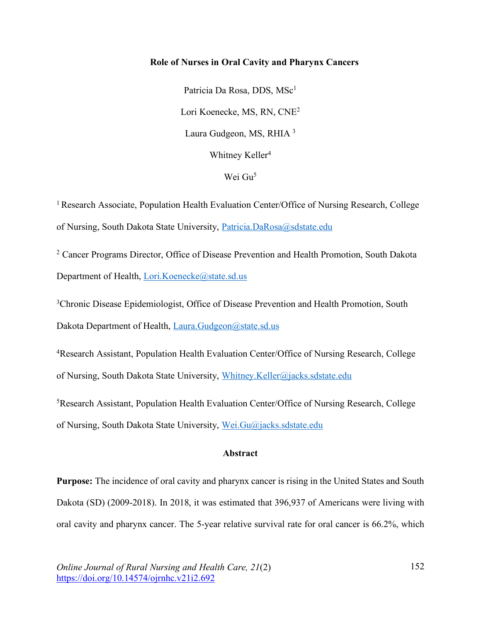# **Role of Nurses in Oral Cavity and Pharynx Cancers**

Patricia Da Rosa, DDS, MSc<sup>1</sup> Lori Koenecke, MS, RN, CNE2 Laura Gudgeon, MS, RHIA <sup>3</sup> Whitney Keller<sup>4</sup>

Wei Gu<sup>5</sup>

<sup>1</sup> Research Associate, Population Health Evaluation Center/Office of Nursing Research, College of Nursing, South Dakota State University, Patricia.DaRosa@sdstate.edu

<sup>2</sup> Cancer Programs Director, Office of Disease Prevention and Health Promotion, South Dakota Department of Health, Lori.Koenecke@state.sd.us

<sup>3</sup>Chronic Disease Epidemiologist, Office of Disease Prevention and Health Promotion, South Dakota Department of Health, Laura.Gudgeon@state.sd.us

4 Research Assistant, Population Health Evaluation Center/Office of Nursing Research, College of Nursing, South Dakota State University, Whitney.Keller@jacks.sdstate.edu

5Research Assistant, Population Health Evaluation Center/Office of Nursing Research, College of Nursing, South Dakota State University, Wei.Gu@jacks.sdstate.edu

# **Abstract**

**Purpose:** The incidence of oral cavity and pharynx cancer is rising in the United States and South Dakota (SD) (2009-2018). In 2018, it was estimated that 396,937 of Americans were living with oral cavity and pharynx cancer. The 5-year relative survival rate for oral cancer is 66.2%, which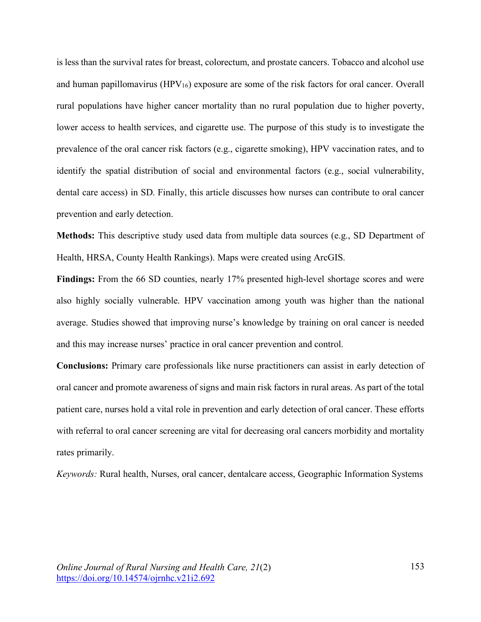is less than the survival rates for breast, colorectum, and prostate cancers. Tobacco and alcohol use and human papillomavirus (HPV<sub>16</sub>) exposure are some of the risk factors for oral cancer. Overall rural populations have higher cancer mortality than no rural population due to higher poverty, lower access to health services, and cigarette use. The purpose of this study is to investigate the prevalence of the oral cancer risk factors (e.g., cigarette smoking), HPV vaccination rates, and to identify the spatial distribution of social and environmental factors (e.g., social vulnerability, dental care access) in SD. Finally, this article discusses how nurses can contribute to oral cancer prevention and early detection.

**Methods:** This descriptive study used data from multiple data sources (e.g., SD Department of Health, HRSA, County Health Rankings). Maps were created using ArcGIS.

**Findings:** From the 66 SD counties, nearly 17% presented high-level shortage scores and were also highly socially vulnerable. HPV vaccination among youth was higher than the national average. Studies showed that improving nurse's knowledge by training on oral cancer is needed and this may increase nurses' practice in oral cancer prevention and control.

**Conclusions:** Primary care professionals like nurse practitioners can assist in early detection of oral cancer and promote awareness of signs and main risk factors in rural areas. As part of the total patient care, nurses hold a vital role in prevention and early detection of oral cancer. These efforts with referral to oral cancer screening are vital for decreasing oral cancers morbidity and mortality rates primarily.

*Keywords:* Rural health, Nurses, oral cancer, dentalcare access, Geographic Information Systems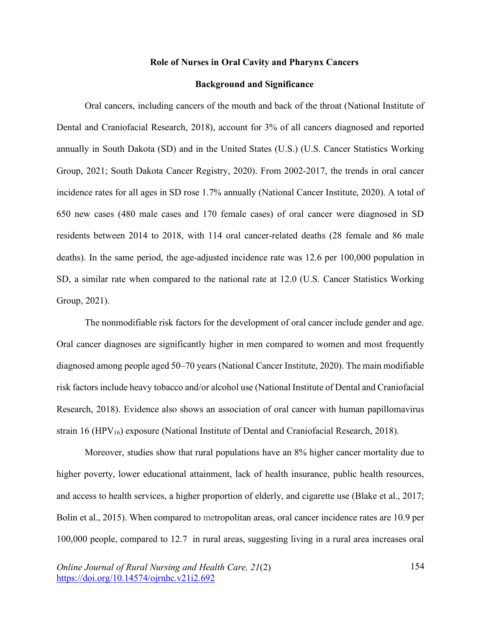### **Role of Nurses in Oral Cavity and Pharynx Cancers**

### **Background and Significance**

Oral cancers, including cancers of the mouth and back of the throat (National Institute of Dental and Craniofacial Research, 2018), account for 3% of all cancers diagnosed and reported annually in South Dakota (SD) and in the United States (U.S.) (U.S. Cancer Statistics Working Group, 2021; South Dakota Cancer Registry, 2020). From 2002-2017, the trends in oral cancer incidence rates for all ages in SD rose 1.7% annually (National Cancer Institute, 2020). A total of 650 new cases (480 male cases and 170 female cases) of oral cancer were diagnosed in SD residents between 2014 to 2018, with 114 oral cancer-related deaths (28 female and 86 male deaths). In the same period, the age-adjusted incidence rate was 12.6 per 100,000 population in SD, a similar rate when compared to the national rate at 12.0 (U.S. Cancer Statistics Working Group, 2021).

The nonmodifiable risk factors for the development of oral cancer include gender and age. Oral cancer diagnoses are significantly higher in men compared to women and most frequently diagnosed among people aged 50–70 years (National Cancer Institute, 2020). The main modifiable risk factors include heavy tobacco and/or alcohol use (National Institute of Dental and Craniofacial Research, 2018). Evidence also shows an association of oral cancer with human papillomavirus strain 16 (HPV<sub>16</sub>) exposure (National Institute of Dental and Craniofacial Research, 2018).

Moreover, studies show that rural populations have an 8% higher cancer mortality due to higher poverty, lower educational attainment, lack of health insurance, public health resources, and access to health services, a higher proportion of elderly, and cigarette use (Blake et al., 2017; Bolin et al., 2015). When compared to metropolitan areas, oral cancer incidence rates are 10.9 per 100,000 people, compared to 12.7 in rural areas, suggesting living in a rural area increases oral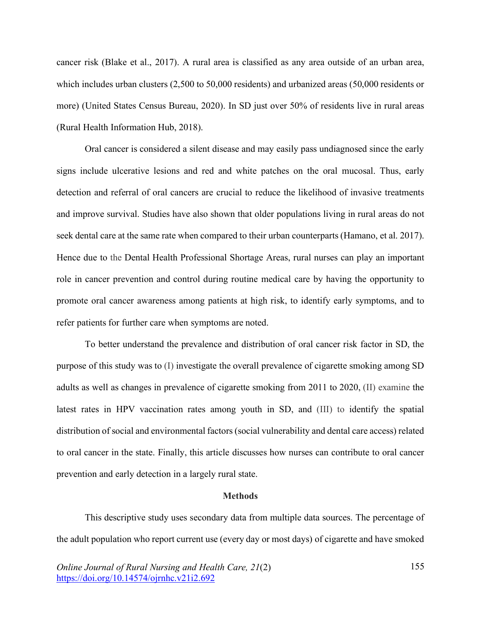cancer risk (Blake et al., 2017). A rural area is classified as any area outside of an urban area, which includes urban clusters (2,500 to 50,000 residents) and urbanized areas (50,000 residents or more) (United States Census Bureau, 2020). In SD just over 50% of residents live in rural areas (Rural Health Information Hub, 2018).

Oral cancer is considered a silent disease and may easily pass undiagnosed since the early signs include ulcerative lesions and red and white patches on the oral mucosal. Thus, early detection and referral of oral cancers are crucial to reduce the likelihood of invasive treatments and improve survival. Studies have also shown that older populations living in rural areas do not seek dental care at the same rate when compared to their urban counterparts (Hamano, et al. 2017). Hence due to the Dental Health Professional Shortage Areas, rural nurses can play an important role in cancer prevention and control during routine medical care by having the opportunity to promote oral cancer awareness among patients at high risk, to identify early symptoms, and to refer patients for further care when symptoms are noted.

To better understand the prevalence and distribution of oral cancer risk factor in SD, the purpose of this study was to (I) investigate the overall prevalence of cigarette smoking among SD adults as well as changes in prevalence of cigarette smoking from 2011 to 2020, (II) examine the latest rates in HPV vaccination rates among youth in SD, and (III) to identify the spatial distribution of social and environmental factors (social vulnerability and dental care access) related to oral cancer in the state. Finally, this article discusses how nurses can contribute to oral cancer prevention and early detection in a largely rural state.

#### **Methods**

This descriptive study uses secondary data from multiple data sources. The percentage of the adult population who report current use (every day or most days) of cigarette and have smoked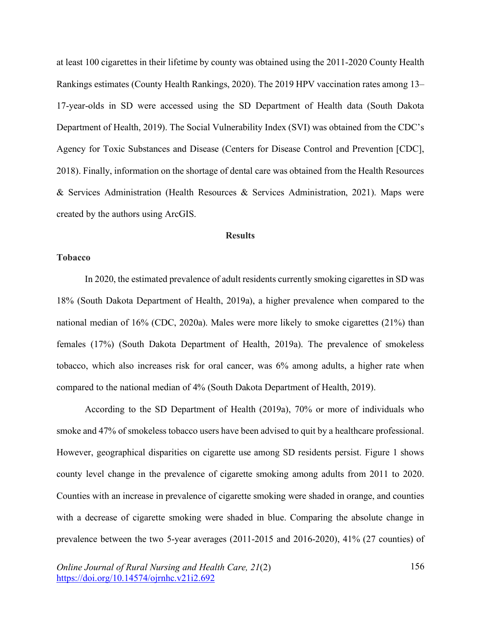at least 100 cigarettes in their lifetime by county was obtained using the 2011-2020 County Health Rankings estimates (County Health Rankings, 2020). The 2019 HPV vaccination rates among 13– 17-year-olds in SD were accessed using the SD Department of Health data (South Dakota Department of Health, 2019). The Social Vulnerability Index (SVI) was obtained from the CDC's Agency for Toxic Substances and Disease (Centers for Disease Control and Prevention [CDC], 2018). Finally, information on the shortage of dental care was obtained from the Health Resources & Services Administration (Health Resources & Services Administration, 2021). Maps were created by the authors using ArcGIS.

### **Results**

## **Tobacco**

In 2020, the estimated prevalence of adult residents currently smoking cigarettes in SD was 18% (South Dakota Department of Health, 2019a), a higher prevalence when compared to the national median of 16% (CDC, 2020a). Males were more likely to smoke cigarettes (21%) than females (17%) (South Dakota Department of Health, 2019a). The prevalence of smokeless tobacco, which also increases risk for oral cancer, was 6% among adults, a higher rate when compared to the national median of 4% (South Dakota Department of Health, 2019).

According to the SD Department of Health (2019a), 70% or more of individuals who smoke and 47% of smokeless tobacco users have been advised to quit by a healthcare professional. However, geographical disparities on cigarette use among SD residents persist. Figure 1 shows county level change in the prevalence of cigarette smoking among adults from 2011 to 2020. Counties with an increase in prevalence of cigarette smoking were shaded in orange, and counties with a decrease of cigarette smoking were shaded in blue. Comparing the absolute change in prevalence between the two 5-year averages (2011-2015 and 2016-2020), 41% (27 counties) of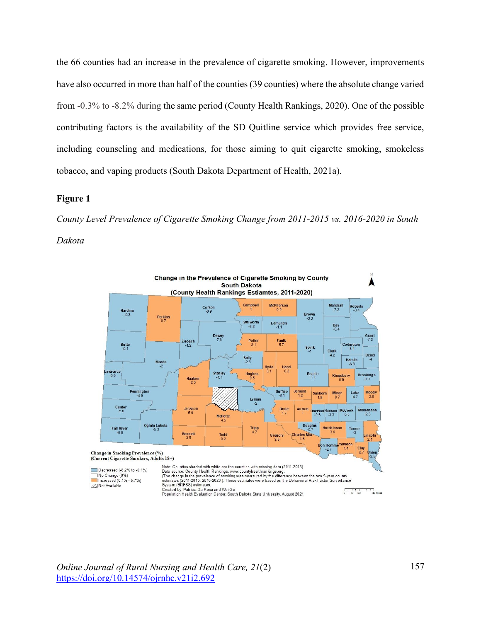the 66 counties had an increase in the prevalence of cigarette smoking. However, improvements have also occurred in more than half of the counties (39 counties) where the absolute change varied from -0.3% to -8.2% during the same period (County Health Rankings, 2020). One of the possible contributing factors is the availability of the SD Quitline service which provides free service, including counseling and medications, for those aiming to quit cigarette smoking, smokeless tobacco, and vaping products (South Dakota Department of Health, 2021a).

### **Figure 1**

*County Level Prevalence of Cigarette Smoking Change from 2011-2015 vs. 2016-2020 in South Dakota*



*Online Journal of Rural Nursing and Health Care, 21*(2) https://doi.org/10.14574/ojrnhc.v21i2.692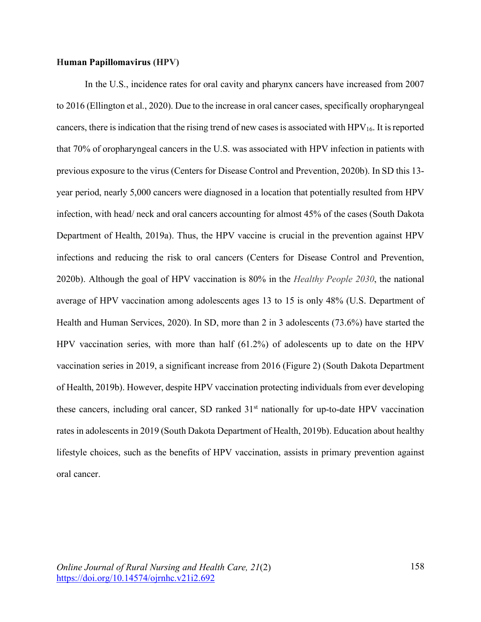# **Human Papillomavirus (HPV)**

In the U.S., incidence rates for oral cavity and pharynx cancers have increased from 2007 to 2016 (Ellington et al., 2020). Due to the increase in oral cancer cases, specifically oropharyngeal cancers, there is indication that the rising trend of new cases is associated with  $HPV_{16}$ . It is reported that 70% of oropharyngeal cancers in the U.S. was associated with HPV infection in patients with previous exposure to the virus (Centers for Disease Control and Prevention, 2020b). In SD this 13 year period, nearly 5,000 cancers were diagnosed in a location that potentially resulted from HPV infection, with head/ neck and oral cancers accounting for almost 45% of the cases (South Dakota Department of Health, 2019a). Thus, the HPV vaccine is crucial in the prevention against HPV infections and reducing the risk to oral cancers (Centers for Disease Control and Prevention, 2020b). Although the goal of HPV vaccination is 80% in the *Healthy People 2030*, the national average of HPV vaccination among adolescents ages 13 to 15 is only 48% (U.S. Department of Health and Human Services, 2020). In SD, more than 2 in 3 adolescents (73.6%) have started the HPV vaccination series, with more than half (61.2%) of adolescents up to date on the HPV vaccination series in 2019, a significant increase from 2016 (Figure 2) (South Dakota Department of Health, 2019b). However, despite HPV vaccination protecting individuals from ever developing these cancers, including oral cancer, SD ranked 31<sup>st</sup> nationally for up-to-date HPV vaccination rates in adolescents in 2019 (South Dakota Department of Health, 2019b). Education about healthy lifestyle choices, such as the benefits of HPV vaccination, assists in primary prevention against oral cancer.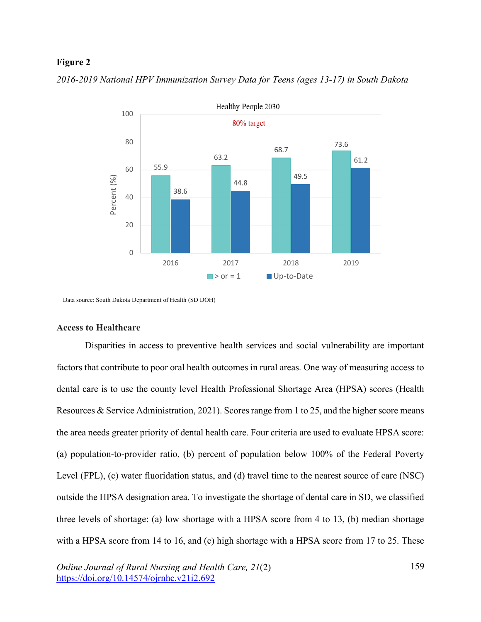## **Figure 2**



*2016-2019 National HPV Immunization Survey Data for Teens (ages 13-17) in South Dakota*

Data source: South Dakota Department of Health (SD DOH)

### **Access to Healthcare**

Disparities in access to preventive health services and social vulnerability are important factors that contribute to poor oral health outcomes in rural areas. One way of measuring access to dental care is to use the county level Health Professional Shortage Area (HPSA) scores (Health Resources & Service Administration, 2021). Scores range from 1 to 25, and the higher score means the area needs greater priority of dental health care. Four criteria are used to evaluate HPSA score: (a) population-to-provider ratio, (b) percent of population below 100% of the Federal Poverty Level (FPL), (c) water fluoridation status, and (d) travel time to the nearest source of care (NSC) outside the HPSA designation area. To investigate the shortage of dental care in SD, we classified three levels of shortage: (a) low shortage with a HPSA score from 4 to 13, (b) median shortage with a HPSA score from 14 to 16, and (c) high shortage with a HPSA score from 17 to 25. These

*Online Journal of Rural Nursing and Health Care, 21*(2) https://doi.org/10.14574/ojrnhc.v21i2.692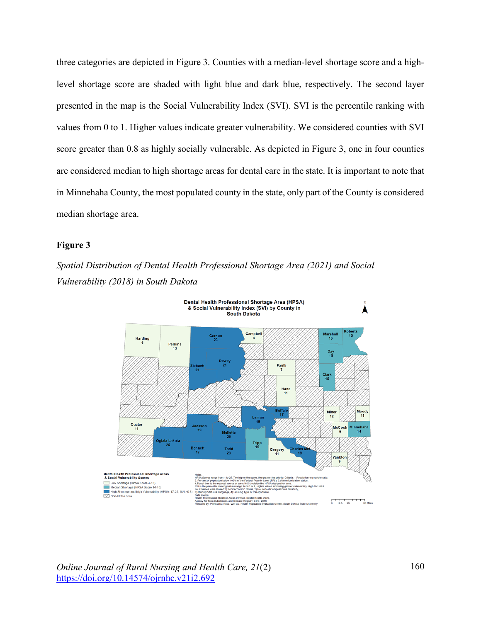three categories are depicted in Figure 3. Counties with a median-level shortage score and a highlevel shortage score are shaded with light blue and dark blue, respectively. The second layer presented in the map is the Social Vulnerability Index (SVI). SVI is the percentile ranking with values from 0 to 1. Higher values indicate greater vulnerability. We considered counties with SVI score greater than 0.8 as highly socially vulnerable. As depicted in Figure 3, one in four counties are considered median to high shortage areas for dental care in the state. It is important to note that in Minnehaha County, the most populated county in the state, only part of the County is considered median shortage area.

# **Figure 3**

*Spatial Distribution of Dental Health Professional Shortage Area (2021) and Social Vulnerability (2018) in South Dakota* 



*Online Journal of Rural Nursing and Health Care, 21*(2) https://doi.org/10.14574/ojrnhc.v21i2.692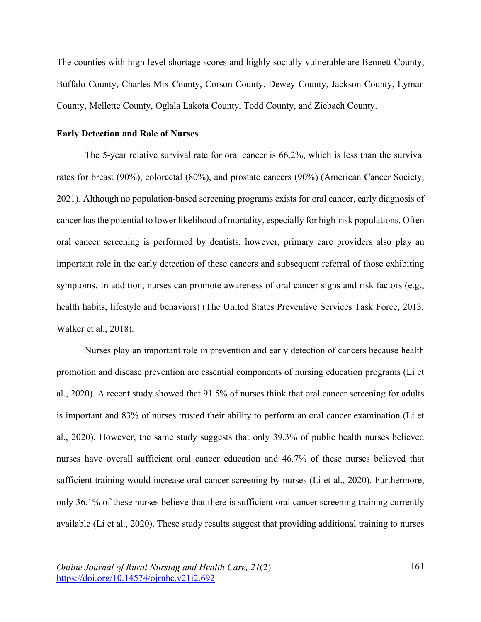The counties with high-level shortage scores and highly socially vulnerable are Bennett County, Buffalo County, Charles Mix County, Corson County, Dewey County, Jackson County, Lyman County, Mellette County, Oglala Lakota County, Todd County, and Ziebach County.

### **Early Detection and Role of Nurses**

The 5-year relative survival rate for oral cancer is 66.2%, which is less than the survival rates for breast (90%), colorectal (80%), and prostate cancers (90%) (American Cancer Society, 2021). Although no population-based screening programs exists for oral cancer, early diagnosis of cancer has the potential to lower likelihood of mortality, especially for high-risk populations. Often oral cancer screening is performed by dentists; however, primary care providers also play an important role in the early detection of these cancers and subsequent referral of those exhibiting symptoms. In addition, nurses can promote awareness of oral cancer signs and risk factors (e.g., health habits, lifestyle and behaviors) (The United States Preventive Services Task Force, 2013; Walker et al., 2018).

Nurses play an important role in prevention and early detection of cancers because health promotion and disease prevention are essential components of nursing education programs (Li et al., 2020). A recent study showed that 91.5% of nurses think that oral cancer screening for adults is important and 83% of nurses trusted their ability to perform an oral cancer examination (Li et al., 2020). However, the same study suggests that only 39.3% of public health nurses believed nurses have overall sufficient oral cancer education and 46.7% of these nurses believed that sufficient training would increase oral cancer screening by nurses (Li et al., 2020). Furthermore, only 36.1% of these nurses believe that there is sufficient oral cancer screening training currently available (Li et al., 2020). These study results suggest that providing additional training to nurses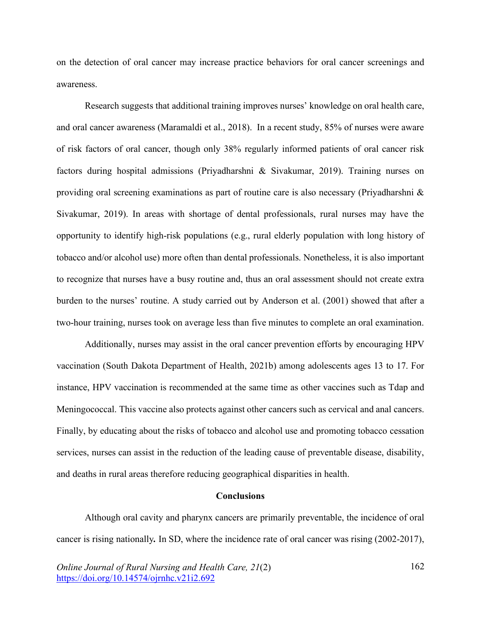on the detection of oral cancer may increase practice behaviors for oral cancer screenings and awareness.

Research suggests that additional training improves nurses' knowledge on oral health care, and oral cancer awareness (Maramaldi et al., 2018). In a recent study, 85% of nurses were aware of risk factors of oral cancer, though only 38% regularly informed patients of oral cancer risk factors during hospital admissions (Priyadharshni & Sivakumar, 2019). Training nurses on providing oral screening examinations as part of routine care is also necessary (Priyadharshni & Sivakumar, 2019). In areas with shortage of dental professionals, rural nurses may have the opportunity to identify high-risk populations (e.g., rural elderly population with long history of tobacco and/or alcohol use) more often than dental professionals. Nonetheless, it is also important to recognize that nurses have a busy routine and, thus an oral assessment should not create extra burden to the nurses' routine. A study carried out by Anderson et al. (2001) showed that after a two-hour training, nurses took on average less than five minutes to complete an oral examination.

Additionally, nurses may assist in the oral cancer prevention efforts by encouraging HPV vaccination (South Dakota Department of Health, 2021b) among adolescents ages 13 to 17. For instance, HPV vaccination is recommended at the same time as other vaccines such as Tdap and Meningococcal. This vaccine also protects against other cancers such as cervical and anal cancers. Finally, by educating about the risks of tobacco and alcohol use and promoting tobacco cessation services, nurses can assist in the reduction of the leading cause of preventable disease, disability, and deaths in rural areas therefore reducing geographical disparities in health.

### **Conclusions**

Although oral cavity and pharynx cancers are primarily preventable, the incidence of oral cancer is rising nationally*.* In SD, where the incidence rate of oral cancer was rising (2002-2017),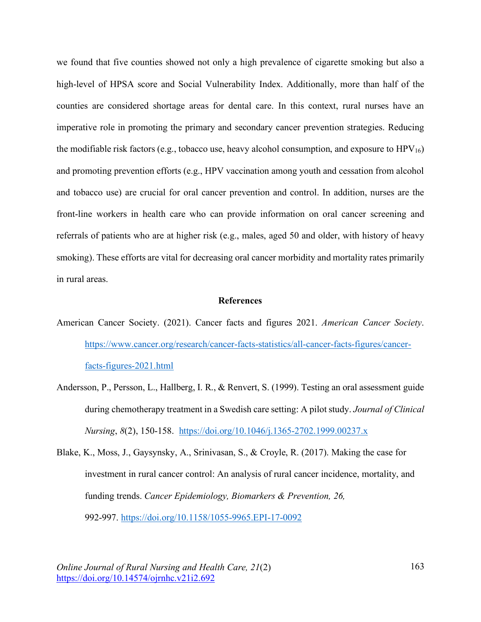we found that five counties showed not only a high prevalence of cigarette smoking but also a high-level of HPSA score and Social Vulnerability Index. Additionally, more than half of the counties are considered shortage areas for dental care. In this context, rural nurses have an imperative role in promoting the primary and secondary cancer prevention strategies. Reducing the modifiable risk factors (e.g., tobacco use, heavy alcohol consumption, and exposure to  $HPV_{16}$ ) and promoting prevention efforts (e.g., HPV vaccination among youth and cessation from alcohol and tobacco use) are crucial for oral cancer prevention and control. In addition, nurses are the front-line workers in health care who can provide information on oral cancer screening and referrals of patients who are at higher risk (e.g., males, aged 50 and older, with history of heavy smoking). These efforts are vital for decreasing oral cancer morbidity and mortality rates primarily in rural areas.

### **References**

- American Cancer Society. (2021). Cancer facts and figures 2021. *American Cancer Society*. https://www.cancer.org/research/cancer-facts-statistics/all-cancer-facts-figures/cancerfacts-figures-2021.html
- Andersson, P., Persson, L., Hallberg, I. R., & Renvert, S. (1999). Testing an oral assessment guide during chemotherapy treatment in a Swedish care setting: A pilot study. *Journal of Clinical Nursing*, *8*(2), 150-158. https://doi.org/10.1046/j.1365-2702.1999.00237.x
- Blake, K., Moss, J., Gaysynsky, A., Srinivasan, S., & Croyle, R. (2017). Making the case for investment in rural cancer control: An analysis of rural cancer incidence, mortality, and funding trends. *Cancer Epidemiology, Biomarkers & Prevention, 26,* 992-997. https://doi.org/10.1158/1055-9965.EPI-17-0092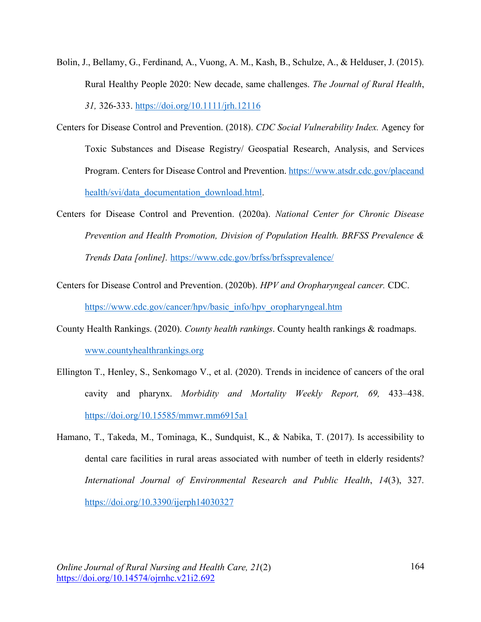- Bolin, J., Bellamy, G., Ferdinand, A., Vuong, A. M., Kash, B., Schulze, A., & Helduser, J. (2015). Rural Healthy People 2020: New decade, same challenges. *The Journal of Rural Health*, *31,* 326-333. https://doi.org/10.1111/jrh.12116
- Centers for Disease Control and Prevention. (2018). *CDC Social Vulnerability Index.* Agency for Toxic Substances and Disease Registry/ Geospatial Research, Analysis, and Services Program. Centers for Disease Control and Prevention. https://www.atsdr.cdc.gov/placeand health/svi/data\_documentation\_download.html.
- Centers for Disease Control and Prevention. (2020a). *National Center for Chronic Disease Prevention and Health Promotion, Division of Population Health. BRFSS Prevalence & Trends Data [online].* https://www.cdc.gov/brfss/brfssprevalence/
- Centers for Disease Control and Prevention. (2020b). *HPV and Oropharyngeal cancer.* CDC. https://www.cdc.gov/cancer/hpv/basic\_info/hpv\_oropharyngeal.htm
- County Health Rankings. (2020). *County health rankings*. County health rankings & roadmaps. www.countyhealthrankings.org
- Ellington T., Henley, S., Senkomago V., et al. (2020). Trends in incidence of cancers of the oral cavity and pharynx. *Morbidity and Mortality Weekly Report, 69,* 433–438. https://doi.org/10.15585/mmwr.mm6915a1
- Hamano, T., Takeda, M., Tominaga, K., Sundquist, K., & Nabika, T. (2017). Is accessibility to dental care facilities in rural areas associated with number of teeth in elderly residents? *International Journal of Environmental Research and Public Health*, *14*(3), 327. https://doi.org/10.3390/ijerph14030327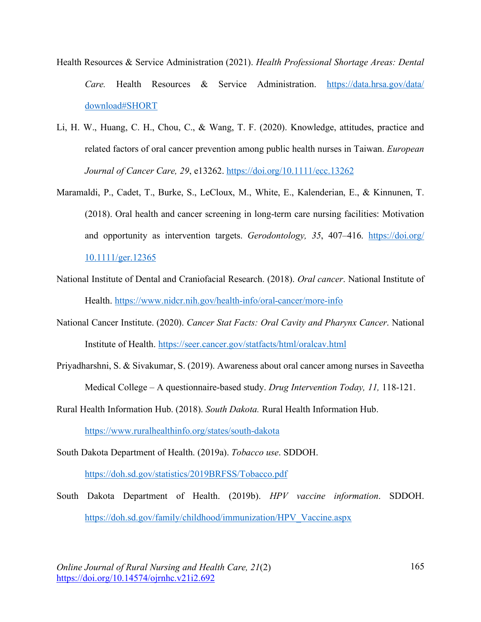- Health Resources & Service Administration (2021). *Health Professional Shortage Areas: Dental Care.* Health Resources & Service Administration. https://data.hrsa.gov/data/ download#SHORT
- Li, H. W., Huang, C. H., Chou, C., & Wang, T. F. (2020). Knowledge, attitudes, practice and related factors of oral cancer prevention among public health nurses in Taiwan. *European Journal of Cancer Care, 29*, e13262. https://doi.org/10.1111/ecc.13262
- Maramaldi, P., Cadet, T., Burke, S., LeCloux, M., White, E., Kalenderian, E., & Kinnunen, T. (2018). Oral health and cancer screening in long-term care nursing facilities: Motivation and opportunity as intervention targets. *Gerodontology, 35*, 407–416. https://doi.org/ 10.1111/ger.12365
- National Institute of Dental and Craniofacial Research. (2018). *Oral cancer*. National Institute of Health. https://www.nidcr.nih.gov/health-info/oral-cancer/more-info
- National Cancer Institute. (2020). *Cancer Stat Facts: Oral Cavity and Pharynx Cancer*. National Institute of Health. https://seer.cancer.gov/statfacts/html/oralcav.html
- Priyadharshni, S. & Sivakumar, S. (2019). Awareness about oral cancer among nurses in Saveetha Medical College – A questionnaire-based study. *Drug Intervention Today, 11,* 118-121.
- Rural Health Information Hub. (2018). *South Dakota.* Rural Health Information Hub. https://www.ruralhealthinfo.org/states/south-dakota
- South Dakota Department of Health. (2019a). *Tobacco use*. SDDOH. https://doh.sd.gov/statistics/2019BRFSS/Tobacco.pdf
- South Dakota Department of Health. (2019b). *HPV vaccine information*. SDDOH. https://doh.sd.gov/family/childhood/immunization/HPV\_Vaccine.aspx